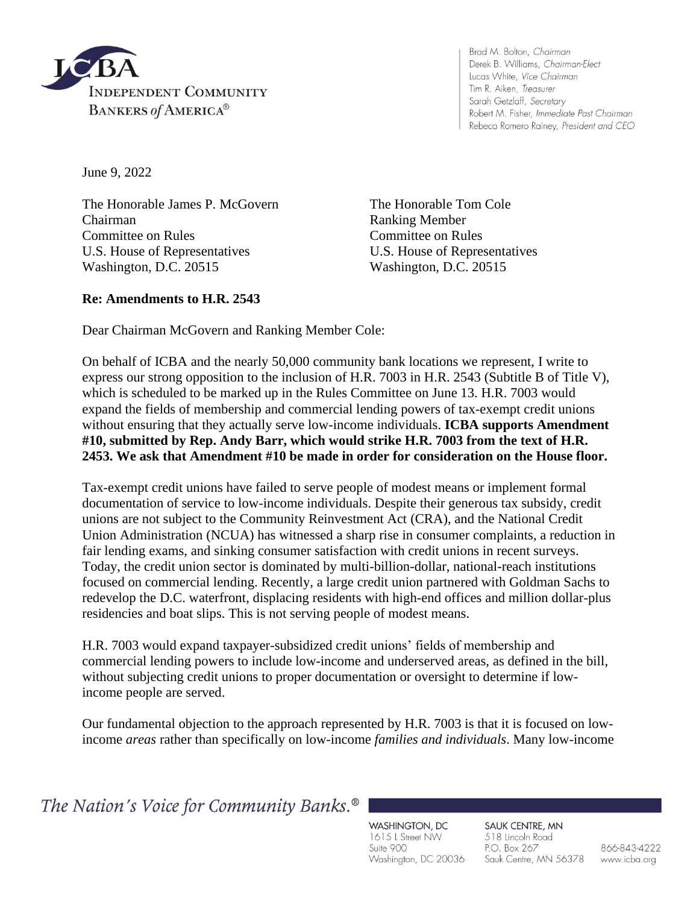

Brad M. Bolton, Chairman Derek B. Williams, Chairman-Elect Lucas White, Vice Chairman Tim R. Aiken, Treasurer Sarah Getzlaff, Secretary Robert M. Fisher, Immediate Past Chairman Rebeca Romero Rainey, President and CEO

June 9, 2022

The Honorable James P. McGovern The Honorable Tom Cole Chairman Ranking Member Committee on Rules Committee on Rules U.S. House of Representatives U.S. House of Representatives Washington, D.C. 20515 Washington, D.C. 20515

## **Re: Amendments to H.R. 2543**

Dear Chairman McGovern and Ranking Member Cole:

On behalf of ICBA and the nearly 50,000 community bank locations we represent, I write to express our strong opposition to the inclusion of H.R. 7003 in H.R. 2543 (Subtitle B of Title V), which is scheduled to be marked up in the Rules Committee on June 13. H.R. 7003 would expand the fields of membership and commercial lending powers of tax-exempt credit unions without ensuring that they actually serve low-income individuals. **ICBA supports Amendment #10, submitted by Rep. Andy Barr, which would strike H.R. 7003 from the text of H.R. 2453. We ask that Amendment #10 be made in order for consideration on the House floor.**

Tax-exempt credit unions have failed to serve people of modest means or implement formal documentation of service to low-income individuals. Despite their generous tax subsidy, credit unions are not subject to the Community Reinvestment Act (CRA), and the National Credit Union Administration (NCUA) has witnessed a sharp rise in consumer complaints, a reduction in fair lending exams, and sinking consumer satisfaction with credit unions in recent surveys. Today, the credit union sector is dominated by multi-billion-dollar, national-reach institutions focused on commercial lending. Recently, a large credit union partnered with Goldman Sachs to redevelop the D.C. waterfront, displacing residents with high-end offices and million dollar-plus residencies and boat slips. This is not serving people of modest means.

H.R. 7003 would expand taxpayer-subsidized credit unions' fields of membership and commercial lending powers to include low-income and underserved areas, as defined in the bill, without subjecting credit unions to proper documentation or oversight to determine if lowincome people are served.

Our fundamental objection to the approach represented by H.R. 7003 is that it is focused on lowincome *areas* rather than specifically on low-income *families and individuals*. Many low-income

The Nation's Voice for Community Banks.<sup>®</sup>

WASHINGTON, DC 1615 L Street NW Suite 900 Washington, DC 20036

SAUK CENTRE, MN 518 Lincoln Road P.O. Box 267 Sauk Centre, MN 56378

866-843-4222 www.icba.org